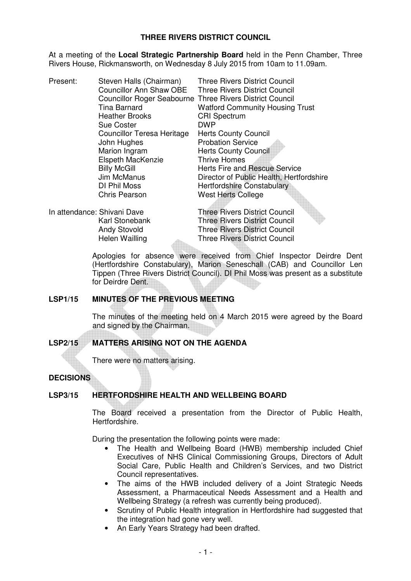## **THREE RIVERS DISTRICT COUNCIL**

At a meeting of the **Local Strategic Partnership Board** held in the Penn Chamber, Three Rivers House, Rickmansworth, on Wednesday 8 July 2015 from 10am to 11.09am.

Present: Steven Halls (Chairman) Three Rivers District Council Councillor Ann Shaw OBE Three Rivers District Council Councillor Roger Seabourne Three Rivers District Council Tina Barnard Watford Community Housing Trust Heather Brooks CRI Spectrum **Sue Coster** Councillor Teresa Heritage Herts County Council John Hughes **Probation Service** Marion Ingram **Herts County Council** Elspeth MacKenzie Thrive Homes Billy McGill **Herts Fire and Rescue Service**<br>
Um McManus
Um Director of Public Health, Hertfo Director of Public Health, Hertfordshire DI Phil Moss<br>Chris Pearson Mest Herts College West Herts College

In attendance: Shivani Dave Three Rivers District Council Karl Stonebank Three Rivers District Council Andy Stovold Three Rivers District Council Helen Wailling Three Rivers District Council

> Apologies for absence were received from Chief Inspector Deirdre Dent (Hertfordshire Constabulary), Marion Seneschall (CAB) and Councillor Len Tippen (Three Rivers District Council). DI Phil Moss was present as a substitute for Deirdre Dent.

## **LSP1/15 MINUTES OF THE PREVIOUS MEETING**

 The minutes of the meeting held on 4 March 2015 were agreed by the Board and signed by the Chairman.

# **LSP2/15 MATTERS ARISING NOT ON THE AGENDA**

There were no matters arising.

## **DECISIONS**

# **LSP3/15 HERTFORDSHIRE HEALTH AND WELLBEING BOARD**

 The Board received a presentation from the Director of Public Health, Hertfordshire.

During the presentation the following points were made:

- The Health and Wellbeing Board (HWB) membership included Chief Executives of NHS Clinical Commissioning Groups, Directors of Adult Social Care, Public Health and Children's Services, and two District Council representatives.
- The aims of the HWB included delivery of a Joint Strategic Needs Assessment, a Pharmaceutical Needs Assessment and a Health and Wellbeing Strategy (a refresh was currently being produced).
- Scrutiny of Public Health integration in Hertfordshire had suggested that the integration had gone very well.
- An Early Years Strategy had been drafted.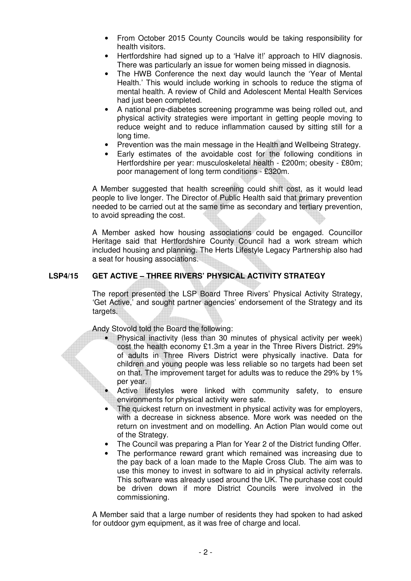- From October 2015 County Councils would be taking responsibility for health visitors.
- Hertfordshire had signed up to a 'Halve it!' approach to HIV diagnosis. There was particularly an issue for women being missed in diagnosis.
- The HWB Conference the next day would launch the 'Year of Mental Health.' This would include working in schools to reduce the stigma of mental health. A review of Child and Adolescent Mental Health Services had just been completed.
- A national pre-diabetes screening programme was being rolled out, and physical activity strategies were important in getting people moving to reduce weight and to reduce inflammation caused by sitting still for a long time.
- Prevention was the main message in the Health and Wellbeing Strategy.
- Early estimates of the avoidable cost for the following conditions in Hertfordshire per year: musculoskeletal health - £200m; obesity - £80m; poor management of long term conditions - £320m.

 A Member suggested that health screening could shift cost, as it would lead people to live longer. The Director of Public Health said that primary prevention needed to be carried out at the same time as secondary and tertiary prevention, to avoid spreading the cost.

 A Member asked how housing associations could be engaged. Councillor Heritage said that Hertfordshire County Council had a work stream which included housing and planning. The Herts Lifestyle Legacy Partnership also had a seat for housing associations.

# **LSP4/15 GET ACTIVE – THREE RIVERS' PHYSICAL ACTIVITY STRATEGY**

The report presented the LSP Board Three Rivers' Physical Activity Strategy, 'Get Active,' and sought partner agencies' endorsement of the Strategy and its targets.

Andy Stovold told the Board the following:

- Physical inactivity (less than 30 minutes of physical activity per week) cost the health economy £1.3m a year in the Three Rivers District. 29% of adults in Three Rivers District were physically inactive. Data for children and young people was less reliable so no targets had been set on that. The improvement target for adults was to reduce the 29% by 1% per year.
	- Active lifestyles were linked with community safety, to ensure environments for physical activity were safe.
- The quickest return on investment in physical activity was for employers, with a decrease in sickness absence. More work was needed on the return on investment and on modelling. An Action Plan would come out of the Strategy.
- The Council was preparing a Plan for Year 2 of the District funding Offer.
- The performance reward grant which remained was increasing due to the pay back of a loan made to the Maple Cross Club. The aim was to use this money to invest in software to aid in physical activity referrals. This software was already used around the UK. The purchase cost could be driven down if more District Councils were involved in the commissioning.

A Member said that a large number of residents they had spoken to had asked for outdoor gym equipment, as it was free of charge and local.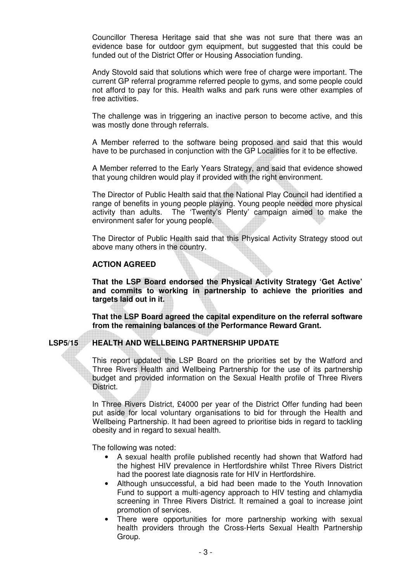Councillor Theresa Heritage said that she was not sure that there was an evidence base for outdoor gym equipment, but suggested that this could be funded out of the District Offer or Housing Association funding.

Andy Stovold said that solutions which were free of charge were important. The current GP referral programme referred people to gyms, and some people could not afford to pay for this. Health walks and park runs were other examples of free activities.

The challenge was in triggering an inactive person to become active, and this was mostly done through referrals.

A Member referred to the software being proposed and said that this would have to be purchased in conjunction with the GP Localities for it to be effective.

A Member referred to the Early Years Strategy, and said that evidence showed that young children would play if provided with the right environment.

The Director of Public Health said that the National Play Council had identified a range of benefits in young people playing. Young people needed more physical activity than adults. The 'Twenty's Plenty' campaign aimed to make the environment safer for young people.

The Director of Public Health said that this Physical Activity Strategy stood out above many others in the country.

### **ACTION AGREED**

 **That the LSP Board endorsed the Physical Activity Strategy 'Get Active' and commits to working in partnership to achieve the priorities and targets laid out in it.** 

 **That the LSP Board agreed the capital expenditure on the referral software from the remaining balances of the Performance Reward Grant.** 

# **LSP5/15 HEALTH AND WELLBEING PARTNERSHIP UPDATE**

This report updated the LSP Board on the priorities set by the Watford and Three Rivers Health and Wellbeing Partnership for the use of its partnership budget and provided information on the Sexual Health profile of Three Rivers District.

 In Three Rivers District, £4000 per year of the District Offer funding had been put aside for local voluntary organisations to bid for through the Health and Wellbeing Partnership. It had been agreed to prioritise bids in regard to tackling obesity and in regard to sexual health.

The following was noted:

- A sexual health profile published recently had shown that Watford had the highest HIV prevalence in Hertfordshire whilst Three Rivers District had the poorest late diagnosis rate for HIV in Hertfordshire.
- Although unsuccessful, a bid had been made to the Youth Innovation Fund to support a multi-agency approach to HIV testing and chlamydia screening in Three Rivers District. It remained a goal to increase joint promotion of services.
- There were opportunities for more partnership working with sexual health providers through the Cross-Herts Sexual Health Partnership Group.